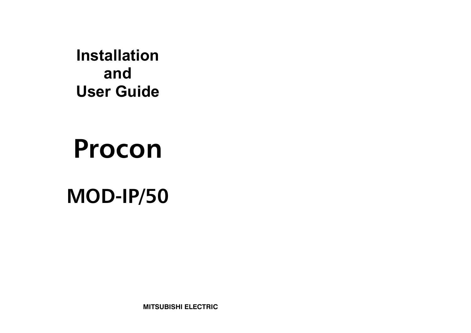**Installation and User Guide**

# **Procon**

## **MOD-IP/50**

**MITSUBISHI ELECTRIC**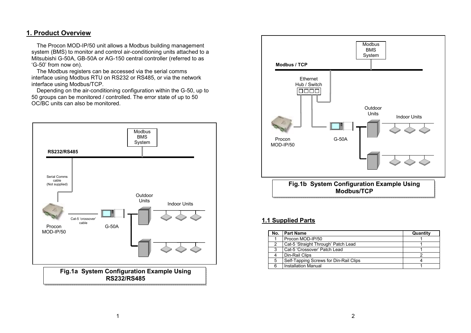## **1. Product Overview**

The Procon MOD-IP/50 unit allows <sup>a</sup> Modbus building management system (BMS) to monitor and control air-conditioning units attached to <sup>a</sup> Mitsubishi G-50A, GB-50A or AG-150 central controller (referred to as 'G-50' from now on).

The Modbus registers can be accessed via the serial comms interface using Modbus RTU on RS232 or RS485, or via the network interface using Modbus/TCP.

Depending on the air-conditioning configuration within the G-50, up to 50 groups can be monitored / controlled. The error state of up to 50 OC/BC units can also be monitored.





## **1.1 Supplied Parts**

| No. | <b>Part Name</b>                       | Quantity |
|-----|----------------------------------------|----------|
|     | Procon MOD-IP/50                       |          |
|     | Cat-5 'Straight Through' Patch Lead    |          |
| 3   | Cat-5 'Crossover' Patch Lead           |          |
|     | Din-Rail Clips                         |          |
| 5   | Self-Tapping Screws for Din-Rail Clips |          |
| 6   | <b>Installation Manual</b>             |          |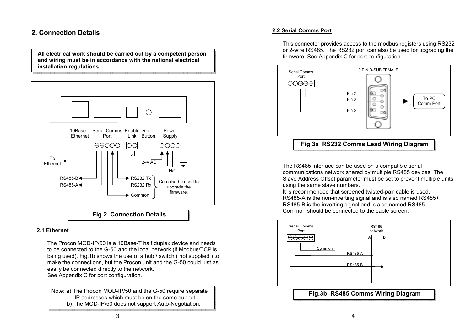## **2. Connection Details**

**All electrical work should be carried out by <sup>a</sup> competent person and wiring must be in accordance with the national electrical installation regulations.**



**Fig.2 Connection Details**

#### **2.1 Ethernet**

The Procon MOD-IP/50 is <sup>a</sup> 10Base-T half duplex device and needs to be connected to the G-50 and the local network (if Modbus/TCP is being used). Fig.1b shows the use of <sup>a</sup> hub / switch ( not supplied ) to make the connections, but the Procon unit and the G-50 could just as easily be connected directly to the network. See Appendix C for port configuration.

<u>Note</u>: a) The Procon MOD-IP/50 and the G-50 require separate IP addresses which must be on the same subnet. b) The MOD-IP/50 does not support Auto-Negotiation.

#### **2.2 Serial Comms Port**

This connector provides access to the modbus registers using RS232 or 2-wire RS485. The RS232 port can also be used for upgrading the firmware. See Appendix C for port configuration.



**Fig.3a RS232 Comms Lead Wiring Diagram**

The RS485 interface can be used on <sup>a</sup> compatible serial communications network shared by multiple RS485 devices. The Slave Address Offset parameter must be set to prevent multiple units using the same slave numbers.

It is recommended that screened twisted-pair cable is used. RS485-A is the non-inverting signal and is also named RS485+ RS485-B is the inverting signal and is also named RS485- Common should be connected to the cable screen.

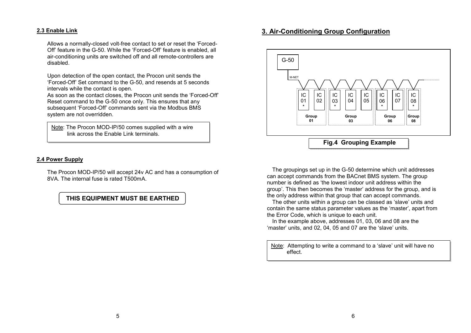#### **2.3 Enable Link**

Allows a normally-closed volt-free contact to set or reset the 'Forced-Off' feature in the G-50. While the 'Forced-Off' feature is enabled, all air-conditioning units are switched off and all remote-controllers are disabled.

Upon detection of the open contact, the Procon unit sends the 'Forced-Off' Set command to the G-50, and resends at 5 seconds intervals while the contact is open.

As soon as the contact closes, the Procon unit sends the 'Forced-Off' Reset command to the G-50 once only. This ensures that any subsequent 'Forced-Off' commands sent via the Modbus BMS system are not overridden.

Note: The Procon MOD-IP/50 comes supplied with <sup>a</sup> wire link across the Enable Link terminals.

#### **2.4 Power Supply**

The Procon MOD-IP/50 will accept 24v AC and has <sup>a</sup> consumption of 8VA. The internal fuse is rated T500mA.

**THIS EQUIPMENT MUST BE EARTHED**

## **3. Air-Conditioning Group Configuration**



The groupings set up in the G-50 determine which unit addresses can accept commands from the BACnet BMS system. The group number is defined as 'the lowest indoor unit address within the group'. This then becomes the 'master' address for the group, and is the only address within that group that can accept commands.

The other units within <sup>a</sup> group can be classed as 'slave' units and contain the same status parameter values as the 'master', apart from the Error Code, which is unique to each unit.

In the example above, addresses 01, 03, 06 and 08 are the 'master' units, and 02, 04, 05 and 07 are the 'slave' units.

<u>Note</u>: Attempting to write a command to a 'slave' unit will have no effect.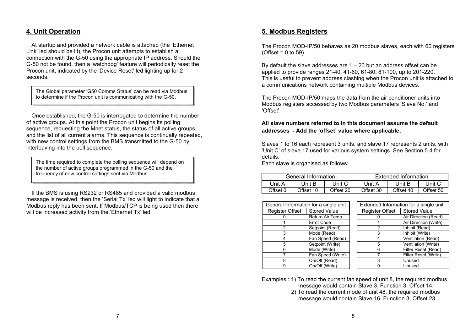## **4. Unit Operation**

At startup and provided <sup>a</sup> network cable is attached (the 'Ethernet Link' led should be lit), the Procon unit attempts to establish <sup>a</sup> connection with the G-50 using the appropriate IP address. Should the G-50 not be found, then <sup>a</sup> 'watchdog' feature will periodically reset the Procon unit, indicated by the 'Device Reset' led lighting up for 2 seconds.

The Global parameter 'G50 Comms Status' can be read via Modbus to determine if the Procon unit is communicating with the G-50.

Once established, the G-50 is interrogated to determine the number of active groups. At this point the Procon unit begins its polling sequence, requesting the Mnet status, the status of all active groups, and the list of all current alarms. This sequence is continually repeated, with new control settings from the BMS transmitted to the G-50 by interleaving into the poll sequence.

The time required to complete the polling sequence will depend on the number of active groups programmed in the G-50 and the frequency of new control settings sent via Modbus.

If the BMS is using RS232 or RS485 and provided <sup>a</sup> valid modbus message is received, then the 'Serial Tx' led will light to indicate that <sup>a</sup> Modbus reply has been sent. If Modbus/TCP is being used then there will be increased activity from the 'Ethernet Tx' led.

## **5. Modbus Registers**

The Procon MOD-IP/50 behaves as 20 modbus slaves, each with 60 registers  $(Offset = 0 to 59).$ 

By default the slave addresses are  $1 - 20$  but an address offset can be applied to provide ranges 21-40, 41-60, 61-80, 81-100, up to 201-220. This is useful to prevent address clashing when the Procon unit is attached to a communications network containing multiple Modbus devices.

The Procon MOD-IP/50 maps the data from the air conditioner units into Modbus registers accessed by two Modbus parameters 'Slave No.' and 'Offset'.

#### **All slave numbers referred to in this document assume the default addresses - Add the 'offset' value where applicable.**

Slaves 1 to 16 each represent 3 units, and slave 17 represents 2 units, with 'Unit C' of slave 17 used for various system settings. See Section 5.4 for details.

Each slave is organised as follows:

| General Information        |           |                  | Extended Information |           |           |
|----------------------------|-----------|------------------|----------------------|-----------|-----------|
| Unit C<br>Unit A<br>Jnit B |           | Unit A<br>Unit B |                      | Unit C    |           |
| Offset 0                   | Offset 10 | Offset 20        | Offset 30            | Offset 40 | Offset 50 |

| General Information for a single unit |                     |  | Extended Information for a single unit |                       |
|---------------------------------------|---------------------|--|----------------------------------------|-----------------------|
| Register Offset                       | <b>Stored Value</b> |  | Register Offset                        | <b>Stored Value</b>   |
|                                       | Return Air Temp     |  |                                        | Air Direction (Read)  |
|                                       | Error Code          |  |                                        | Air Direction (Write) |
|                                       | Setpoint (Read)     |  |                                        | Inhibit (Read)        |
| 3                                     | Mode (Read)         |  |                                        | Inhibit (Write)       |
| 4                                     | Fan Speed (Read)    |  |                                        | Ventilation (Read)    |
| 5                                     | Setpoint (Write)    |  | 5                                      | Ventilation (Write)   |
| 6                                     | Mode (Write)        |  | 6                                      | Filter Reset (Read)   |
|                                       | Fan Speed (Write)   |  |                                        | Filter Reset (Write)  |
| 8                                     | On/Off (Read)       |  | 8                                      | Unused                |
| 9                                     | On/Off (Write)      |  |                                        | Unused                |

Examples : 1) To read the current fan speed of unit 8, the required modbus message would contain Slave 3, Function 3, Offset 14. 2) To read the current mode of unit 48, the required modbus

message would contain Slave 16, Function 3, Offset 23.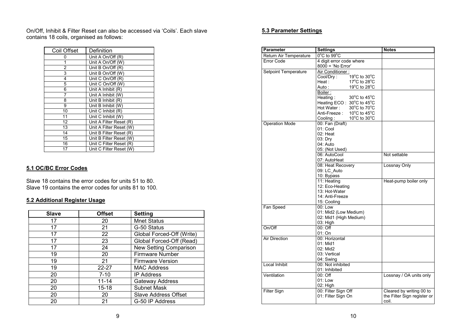On/Off, Inhibit & Filter Reset can also be accessed via 'Coils'. Each slave contains 18 coils, organised as follows:

| Coil Offset | Definition              |  |  |
|-------------|-------------------------|--|--|
| 0           | Unit A On/Off (R)       |  |  |
| 1           | Unit A On/Off (W)       |  |  |
| 2           | Unit B On/Off $(R)$     |  |  |
| 3           | Unit B On/Off (W)       |  |  |
| 4           | Unit C On/Off (R)       |  |  |
| 5           | Unit C On/Off (W)       |  |  |
| 6           | Unit A Inhibit (R)      |  |  |
| 7           | Unit A Inhibit (W)      |  |  |
| 8           | Unit B Inhibit (R)      |  |  |
| 9           | Unit B Inhibit (W)      |  |  |
| 10          | Unit C Inhibit (R)      |  |  |
| 11          | Unit C Inhibit (W)      |  |  |
| 12          | Unit A Filter Reset (R) |  |  |
| 13          | Unit A Filter Reset (W) |  |  |
| 14          | Unit B Filter Reset (R) |  |  |
| 15          | Unit B Filter Reset (W) |  |  |
| 16          | Unit C Filter Reset (R) |  |  |
| 17          | Unit C Filter Reset (W) |  |  |

#### **5.1 O C/B C Error C o d e s**

Slave 18 contains the error codes for units 51 to 80. Sla v e 19 c ontains the error c odes for units 81 to 10 0.

#### **5.2 A d ditio n al R e gister U s a g e**

| <b>Slave</b> | <b>Offset</b> | <b>Setting</b>              |  |
|--------------|---------------|-----------------------------|--|
| 17           | 20            | <b>Mnet Status</b>          |  |
| 17           | 21            | G-50 Status                 |  |
| 17           | 22            | Global Forced-Off (Write)   |  |
| 17           | 23            | Global Forced-Off (Read)    |  |
| 17           | 24            | New Setting Comparison      |  |
| 19           | 20            | <b>Firmware Number</b>      |  |
| 19           | 21            | <b>Firmware Version</b>     |  |
| 19           | $22 - 27$     | <b>MAC Address</b>          |  |
| 20           | $7 - 10$      | <b>IP Address</b>           |  |
| 20           | $11 - 14$     | Gateway Address             |  |
| 20           | 15-18         | Subnet Mask                 |  |
| 20           | 20            | <b>Slave Address Offset</b> |  |
| 20           | 21            | G-50 IP Address             |  |

#### **5.3 P ara m eter S ettin g s**

| <b>Parameter</b>            | <b>Settings</b>                                                                                                                                                                                                                           | <b>Notes</b>                                                     |  |
|-----------------------------|-------------------------------------------------------------------------------------------------------------------------------------------------------------------------------------------------------------------------------------------|------------------------------------------------------------------|--|
| Return Air Temperature      | 0°C to 99°C                                                                                                                                                                                                                               |                                                                  |  |
| Error Code                  | 4 digit error code where<br>8000 = 'No Error'                                                                                                                                                                                             |                                                                  |  |
| <b>Setpoint Temperature</b> | Air Conditioner:<br>19°C to 30°C<br>Cool/Dry:<br>17°C to 28°C<br>Heat:<br>19°C to 28°C<br>Auto:                                                                                                                                           |                                                                  |  |
|                             | Boiler:<br>Heating:<br>$30^{\circ}$ C to 45 $^{\circ}$ C<br>Heating ECO: 30°C to 45°C<br>Hot Water:<br>$30^{\circ}$ C to $70^{\circ}$ C<br>10 $\mathrm{^{\circ}C}$ to 45 $\mathrm{^{\circ}C}$<br>Anti-Freeze:<br>10°C to 30°C<br>Cooling: |                                                                  |  |
| <b>Operation Mode</b>       | 00: Fan (Draft)<br>01: Cool<br>02: Heat<br>03: Dry<br>04: Auto<br>05: (Not Used)                                                                                                                                                          |                                                                  |  |
|                             | 06: AutoCool<br>07: AutoHeat                                                                                                                                                                                                              | Not settable                                                     |  |
|                             | 08: Heat Recovery<br>09: LC_Auto<br>10: Bypass                                                                                                                                                                                            | <b>Lossnay Only</b>                                              |  |
|                             | 11: Heating<br>12: Eco-Heating<br>13: Hot-Water<br>14: Anti-Freeze<br>15: Cooling                                                                                                                                                         | Heat-pump boiler only                                            |  |
| Fan Speed                   | 00: Low<br>01: Mid2 (Low Medium)<br>02: Mid1 (High Medium)<br>03: High                                                                                                                                                                    |                                                                  |  |
| On/Off                      | $00:$ Off<br>01: On                                                                                                                                                                                                                       |                                                                  |  |
| <b>Air Direction</b>        | 00: Horizontal<br>01: Mid1<br>02: Mid2<br>03: Vertical<br>04: Swing                                                                                                                                                                       |                                                                  |  |
| Local Inhibit               | 00: Not inhibited<br>01: Inhibited                                                                                                                                                                                                        |                                                                  |  |
| Ventilation                 | 00: Off<br>01: Low<br>02: High                                                                                                                                                                                                            | Lossnay / OA units only                                          |  |
| Filter Sign                 | 00: Filter Sign Off<br>01: Filter Sign On                                                                                                                                                                                                 | Cleared by writing 00 to<br>the Filter Sign register or<br>coil. |  |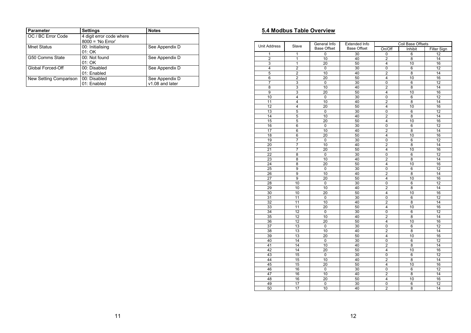| <b>Parameter</b>       | <b>Settings</b>                               | <b>Notes</b>                      |
|------------------------|-----------------------------------------------|-----------------------------------|
| OC / BC Error Code     | 4 digit error code where<br>8000 = 'No Error' |                                   |
| <b>Mnet Status</b>     | 00: Initialising<br>01:OK                     | See Appendix D                    |
| G50 Comms State        | 00: Not found<br>01: OK                       | See Appendix D                    |
| Global Forced-Off      | 00: Disabled<br>01: Enabled                   | See Appendix D                    |
| New Setting Comparison | 00: Disabled<br>01: Enabled                   | See Appendix D<br>v1.08 and later |

#### **5.4 Modbus Table Overview**

|                         | General Info   | <b>Extended Info</b> | Coil Base Offsets  |                     |                 |             |
|-------------------------|----------------|----------------------|--------------------|---------------------|-----------------|-------------|
| <b>Unit Address</b>     | Slave          | <b>Base Offset</b>   | <b>Base Offset</b> | On/Off              | Inhibit         | Filter Sign |
| 1                       | 1              | $\mathbf 0$          | 30                 | 0                   | 6               | 12          |
| $\overline{2}$          | 1              | 10                   | 40                 | $\overline{c}$      | 8               | 14          |
| 3                       | 1              | 20                   | 50                 | 4                   | 10              | 16          |
| $\overline{\mathbf{4}}$ | 2              | 0                    | 30                 | 0                   | 6               | 12          |
| 5                       | 2              | 10                   | 40                 | $\overline{2}$      | 8               | 14          |
| 6                       | 2              | $\overline{20}$      | 50                 | 4                   | 10              | 16          |
| 7                       | 3              | 0                    | 30                 | 0                   | 6               | 12          |
| $\overline{8}$          | 3              | 10                   | 40                 | $\overline{2}$      | 8               | 14          |
| $\overline{9}$          | 3              | 20                   | 50                 | $\overline{4}$      | 10              | 16          |
| 10                      | 4              | $\mathbf 0$          | 30                 | $\mathbf 0$         | 6               | 12          |
| 11                      | $\overline{4}$ | 10                   | 40                 | $\overline{2}$      | 8               | 14          |
| 12                      | $\overline{4}$ | 20                   | 50                 | 4                   | 10              | 16          |
| 13                      | 5              | 0                    | 30                 | $\overline{0}$      | 6               | 12          |
| 14                      | 5              | 10                   | 40                 | $\overline{2}$      | 8               | 14          |
| 15                      | 5              | 20                   | 50                 | 4                   | 10              | 16          |
| 16                      | 6              | 0                    | 30                 | 0                   | 6               | 12          |
| 17                      | 6              | 10                   | 40                 | $\overline{c}$      | 8               | 14          |
| 18                      | 6              | 20                   | 50                 | 4                   | 10              | 16          |
| 19                      | 7              | 0                    | 30                 | 0                   | 6               | 12          |
| 20                      | 7              | 10                   | 40                 | $\overline{2}$      | $\overline{8}$  | 14          |
| 21                      | 7              | 20                   | 50                 | 4                   | 10              | 16          |
| 22                      | 8              | 0                    | 30                 | $\mathbf 0$         | 6               | 12          |
| 23                      | 8              | 10                   | 40                 | $\overline{2}$      | 8               | 14          |
| 24                      | 8              | 20                   | 50                 | 4                   | 10              | 16          |
| 25                      | 9              | 0                    | 30                 | 0                   | 6               | 12          |
| 26                      | 9              | 10                   | 40                 | $\overline{c}$      | 8               | 14          |
| 27                      | 9              | 20                   | 50                 | 4                   | 10              | 16          |
| 28                      | 10             | $\mathbf 0$          | 30                 | 0                   | $6\overline{6}$ | 12          |
| 29                      | 10             | 10                   | 40                 | $\overline{2}$      | 8               | 14          |
| 30                      | 10             | 20                   | 50                 | $\overline{4}$      | 10              | 16          |
| 31                      | 11             | 0                    | 30                 | 0                   | 6               | 12          |
| 32                      | 11             | 10                   | 40                 | $\overline{2}$      | 8               | 14          |
| 33                      | 11             | 20                   | 50                 | 4                   | 10              | 16          |
| 34                      | 12             | 0                    | 30                 | 0                   | 6               | 12          |
| 35                      | 12             | 10                   | 40                 | $\overline{c}$      | 8               | 14          |
| 36                      | 12             | $\overline{20}$      | 50                 | 4                   | 10              | 16          |
| 37                      | 13             | 0                    | 30                 | $\pmb{0}$           | 6               | 12          |
| 38                      | 13             | 10                   | 40                 | $\overline{2}$      | 8               | 14          |
| 39                      | 13             | 20                   | 50                 | 4                   | 10              | 16          |
| 40                      | 14             | 0                    | 30                 | 0                   | 6               | 12          |
| 41<br>42                | 14             | 10                   | 40                 | $\overline{c}$      | 8<br>10         | 14          |
| 43                      | 14             | 20                   | 50                 | 4                   |                 | 16          |
|                         | 15             | 0<br>10              | 30<br>40           | 0<br>$\overline{c}$ | 6<br>8          | 12          |
| 44<br>45                | 15<br>15       |                      | 50                 |                     | 10              | 14<br>16    |
| 46                      | 16             | 20<br>0              | 30                 | 4<br>$\pmb{0}$      | 6               | 12          |
| 47                      |                |                      |                    | $\overline{c}$      | 8               |             |
| 48                      | 16<br>16       | 10<br>20             | 40<br>50           | 4                   | 10              | 14<br>16    |
| 49                      | 17             | 0                    | 30                 | 0                   | 6               | 12          |
| 50                      | 17             | 10                   | 40                 | $\overline{2}$      | 8               | 14          |
|                         |                |                      |                    |                     |                 |             |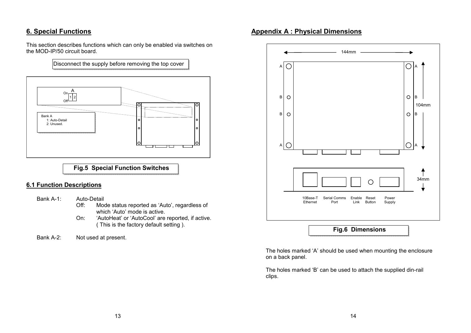## **6. Special Functions**

This section describes functions which can only be enabled via switches on the MOD-IP/50 circuit board.

Disconnect the supply before removing the top cover



**Fig.5 Special Function Switches**

### **6.1 Function Descriptions**

- Bank A-1: Auto-Detail
	- $Off$  Mode status reported as 'Auto', regardless of which 'Auto' mode is active.
	- On:: 'AutoHeat' or 'AutoCool' are reported, if active. ( This is the factory default setting ).
- Bank A-2: A-2: Not used at present.

## **Appendix A : Physical Dimensions**



**Fig.6 Dimensions**

The holes marked 'A' should be used when mounting the enclosure on <sup>a</sup> back panel.

The holes marked 'B' can be used to attach the supplied din-rail clips.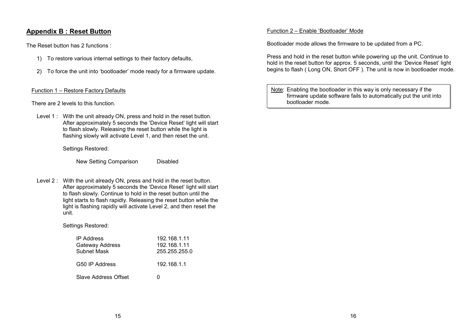## **Appendix B : Reset Button**

The Reset button has 2 functions :

- 1) To restore various internal settings to their factory defaults,
- 2) To force the unit into 'bootloader' mode ready for <sup>a</sup> firmware update.

#### Function 1 – Restore Factory Defaults

There are 2 levels to this function.

Level 1 : With the unit already ON, press and hold in the reset button. After approximately 5 seconds the 'Device Reset' light will start to flash slowly. Releasing the reset button while the light is flashing slowly will activate Level 1, and then reset the unit.

Settings Restored:

New Setting Comparison Disabled

Level 2 : With the unit already ON, press and hold in the reset button. After approximately 5 seconds the 'Device Reset' light will start to flash slowly. Continue to hold in the reset button until the light starts to flash rapidly. Releasing the reset button while the light is flashing rapidly will activate Level 2, and then reset the unit.

#### Settings Restored:

| <b>IP Address</b><br>Gateway Address<br>Subnet Mask | 192.168.1.11<br>192.168.1.11<br>255.255.255.0 |
|-----------------------------------------------------|-----------------------------------------------|
| G50 IP Address                                      | 192.168.1.1                                   |
| Slave Address Offset                                |                                               |

#### Function 2 – Enable 'Bootloader' Mode

Bootloader mode allows the firmware to be updated from <sup>a</sup> PC.

Press and hold in the reset button while powering up the unit. Continue to hold in the reset button for approx. 5 seconds, until the 'Device Reset' light begins to flash ( Long ON, Short OFF ). The unit is now in bootloader mode.

Note: Enabling the bootloader in this way is only necessary if the firmware update software fails to automatically put the unit into bootloader mode.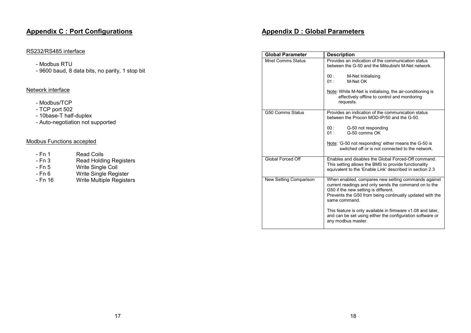## **Appendix C : Port Configurations**

#### RS232/RS485 interface

- Modbus RTU
- 9600 baud, 8 data bits, no parity, 1 stop bit

#### Network interface

- Modbus/TCP
- TCP port 502
- 10base-T half-duplex
- Auto-negotiation not supported

#### Modbus Functions accepted

- FnRead Coils - Fn**Read Holding Registers** - FnWrite Single Coil
- FnWrite Single Register
- FnWrite Multiple Registers

## **Appendix D : Global Parameters**

| <b>Global Parameter</b>  | <b>Description</b>                                                                                                                                                                                                               |
|--------------------------|----------------------------------------------------------------------------------------------------------------------------------------------------------------------------------------------------------------------------------|
| <b>Mnet Comms Status</b> | Provides an indication of the communication status<br>between the G-50 and the Mitsubishi M-Net network.                                                                                                                         |
|                          | 00:<br>M-Net Initialising<br>01:<br>M-Net OK                                                                                                                                                                                     |
|                          | Note: While M-Net is initialising, the air-conditioning is<br>effectively offline to control and monitoring<br>requests.                                                                                                         |
| G50 Comms Status         | Provides an indication of the communication status<br>between the Procon MOD-IP/50 and the G-50.                                                                                                                                 |
|                          | 00:<br>G-50 not responding<br>G-50 comms OK<br>$01 -$                                                                                                                                                                            |
|                          | Note: 'G-50 not responding' either means the G-50 is<br>switched off or is not connected to the network.                                                                                                                         |
| Global Forced Off        | Enables and disables the Global Forced-Off command.<br>This setting allows the BMS to provide functionality<br>equivalent to the 'Enable Link' described in section 2.3                                                          |
| New Setting Comparison   | When enabled, compares new setting commands against<br>current readings and only sends the command on to the<br>G50 if the new setting is different.<br>Prevents the G50 from being continually updated with the<br>same command |
|                          | This feature is only available in firmware v1.08 and later,<br>and can be set using either the configuration software or<br>any modbus master.                                                                                   |